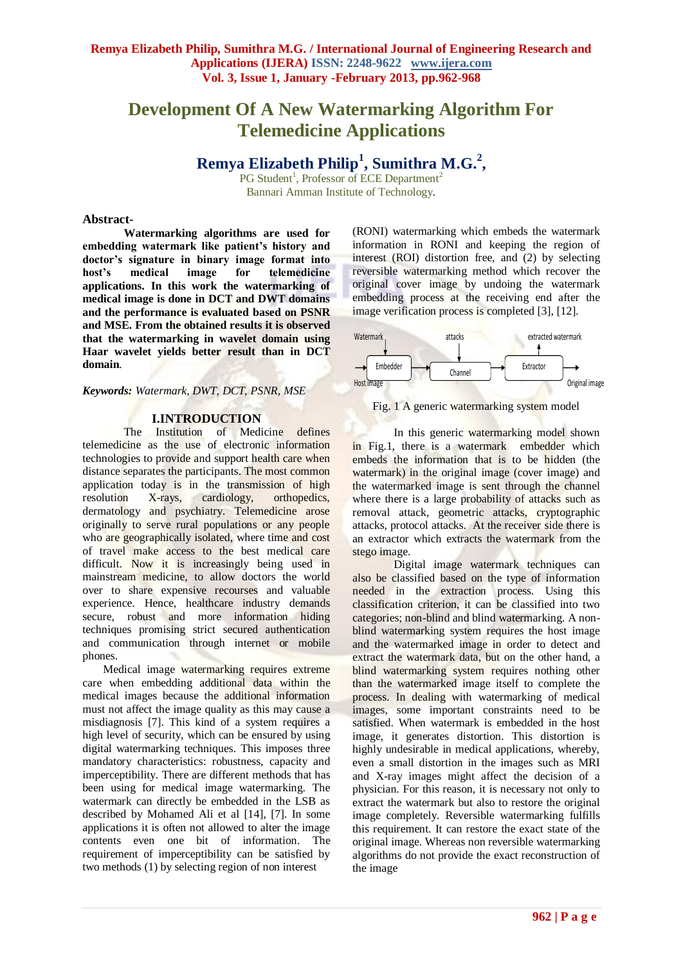# **Development Of A New Watermarking Algorithm For Telemedicine Applications**

**Remya Elizabeth Philip<sup>1</sup> , Sumithra M.G.<sup>2</sup> ,**

PG Student<sup>1</sup>, Professor of ECE Department<sup>2</sup> Bannari Amman Institute of Technology*.*

## **Abstract-**

**Watermarking algorithms are used for embedding watermark like patient's history and doctor's signature in binary image format into host's medical image for telemedicine applications. In this work the watermarking of medical image is done in DCT and DWT domains and the performance is evaluated based on PSNR and MSE. From the obtained results it is observed that the watermarking in wavelet domain using Haar wavelet yields better result than in DCT domain***.*

*Keywords: Watermark, DWT, DCT, PSNR, MSE*

#### **I.INTRODUCTION**

The Institution of Medicine defines telemedicine as the use of electronic information technologies to provide and support health care when distance separates the participants. The most common application today is in the transmission of high resolution X-rays, cardiology, orthopedics, dermatology and psychiatry. Telemedicine arose originally to serve rural populations or any people who are geographically isolated, where time and cost of travel make access to the best medical care difficult. Now it is increasingly being used in mainstream medicine, to allow doctors the world over to share expensive recourses and valuable experience. Hence, healthcare industry demands secure, robust and more information hiding techniques promising strict secured authentication and communication through internet or mobile phones.

Medical image watermarking requires extreme care when embedding additional data within the medical images because the additional information must not affect the image quality as this may cause a misdiagnosis [7]. This kind of a system requires a high level of security, which can be ensured by using digital watermarking techniques. This imposes three mandatory characteristics: robustness, capacity and imperceptibility. There are different methods that has been using for medical image watermarking. The watermark can directly be embedded in the LSB as described by Mohamed Ali et al [14], [7]. In some applications it is often not allowed to alter the image contents even one bit of information. The requirement of imperceptibility can be satisfied by two methods (1) by selecting region of non interest

(RONI) watermarking which embeds the watermark information in RONI and keeping the region of interest (ROI) distortion free, and (2) by selecting reversible watermarking method which recover the original cover image by undoing the watermark embedding process at the receiving end after the image verification process is completed [3], [12].



Fig. 1 A generic watermarking system model

In this generic watermarking model shown in Fig.1, there is a watermark embedder which embeds the information that is to be hidden (the watermark) in the original image (cover image) and the watermarked image is sent through the channel where there is a large probability of attacks such as removal attack, geometric attacks, cryptographic attacks, protocol attacks. At the receiver side there is an extractor which extracts the watermark from the stego image.

Digital image watermark techniques can also be classified based on the type of information needed in the extraction process. Using this classification criterion, it can be classified into two categories; non-blind and blind watermarking. A nonblind watermarking system requires the host image and the watermarked image in order to detect and extract the watermark data, but on the other hand, a blind watermarking system requires nothing other than the watermarked image itself to complete the process. In dealing with watermarking of medical images, some important constraints need to be satisfied. When watermark is embedded in the host image, it generates distortion. This distortion is highly undesirable in medical applications, whereby, even a small distortion in the images such as MRI and X-ray images might affect the decision of a physician. For this reason, it is necessary not only to extract the watermark but also to restore the original image completely. Reversible watermarking fulfills this requirement. It can restore the exact state of the original image. Whereas non reversible watermarking algorithms do not provide the exact reconstruction of the image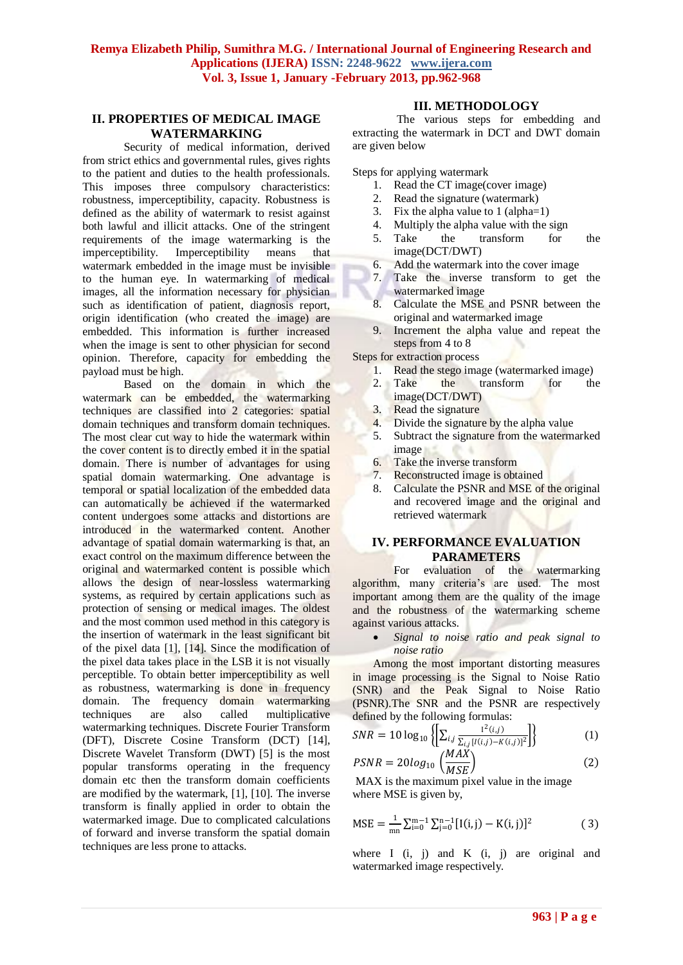# **II. PROPERTIES OF MEDICAL IMAGE WATERMARKING**

Security of medical information, derived from strict ethics and governmental rules, gives rights to the patient and duties to the health professionals. This imposes three compulsory characteristics: robustness, imperceptibility, capacity. Robustness is defined as the ability of watermark to resist against both lawful and illicit attacks. One of the stringent requirements of the image watermarking is the imperceptibility. Imperceptibility means that watermark embedded in the image must be invisible to the human eye. In watermarking of medical images, all the information necessary for physician such as identification of patient, diagnosis report, origin identification (who created the image) are embedded. This information is further increased when the image is sent to other physician for second opinion. Therefore, capacity for embedding the payload must be high.

Based on the domain in which the watermark can be embedded, the watermarking techniques are classified into 2 categories: spatial domain techniques and transform domain techniques. The most clear cut way to hide the watermark within the cover content is to directly embed it in the spatial domain. There is number of advantages for using spatial domain watermarking. One advantage is temporal or spatial localization of the embedded data can automatically be achieved if the watermarked content undergoes some attacks and distortions are introduced in the watermarked content. Another advantage of spatial domain watermarking is that, an exact control on the maximum difference between the original and watermarked content is possible which allows the design of near-lossless watermarking systems, as required by certain applications such as protection of sensing or medical images. The oldest and the most common used method in this category is the insertion of watermark in the least significant bit of the pixel data [1], [14]. Since the modification of the pixel data takes place in the LSB it is not visually perceptible. To obtain better imperceptibility as well as robustness, watermarking is done in frequency domain. The frequency domain watermarking techniques are also called multiplicative watermarking techniques. Discrete Fourier Transform (DFT), Discrete Cosine Transform (DCT) [14], Discrete Wavelet Transform (DWT) [5] is the most popular transforms operating in the frequency domain etc then the transform domain coefficients are modified by the watermark, [1], [10]. The inverse transform is finally applied in order to obtain the watermarked image. Due to complicated calculations of forward and inverse transform the spatial domain techniques are less prone to attacks.

# **III. METHODOLOGY**

The various steps for embedding and extracting the watermark in DCT and DWT domain are given below

Steps for applying watermark

- 1. Read the CT image(cover image)
- 2. Read the signature (watermark)
- 3. Fix the alpha value to 1 (alpha=1)
- 4. Multiply the alpha value with the sign
- 5. Take the transform for the image(DCT/DWT)
- 
- 6. Add the watermark into the cover image<br>7. Take the inverse transform to get Take the inverse transform to get the watermarked image
- 8. Calculate the MSE and PSNR between the original and watermarked image
- 9. Increment the alpha value and repeat the steps from 4 to 8

Steps for extraction process

- 1. Read the stego image (watermarked image)
- 2. Take the transform for the image(DCT/DWT)
- 3. Read the signature
- 4. Divide the signature by the alpha value
- 5. Subtract the signature from the watermarked image
- 6. Take the inverse transform<br>7. Reconstructed image is obta
- Reconstructed image is obtained
- 8. Calculate the PSNR and MSE of the original and recovered image and the original and retrieved watermark

# **IV. PERFORMANCE EVALUATION PARAMETERS**

For evaluation of the watermarking algorithm, many criteria's are used. The most important among them are the quality of the image and the robustness of the watermarking scheme against various attacks.

 *Signal to noise ratio and peak signal to noise ratio*

Among the most important distorting measures in image processing is the Signal to Noise Ratio (SNR) and the Peak Signal to Noise Ratio (PSNR).The SNR and the PSNR are respectively defined by the following formulas:

$$
SNR = 10 \log_{10} \left\{ \left[ \sum_{i,j} \frac{1^2(i,j)}{\sum_{i,j} [I(i,j) - K(i,j)]^2} \right] \right\}
$$
(1)

$$
PSNR = 20log_{10}\left(\frac{WAA}{MSE}\right) \tag{2}
$$

MAX is the maximum pixel value in the image where MSE is given by,

$$
MSE = \frac{1}{mn} \sum_{i=0}^{m-1} \sum_{j=0}^{n-1} [I(i,j) - K(i,j)]^2
$$
 (3)

where I  $(i, j)$  and K  $(i, j)$  are original and watermarked image respectively.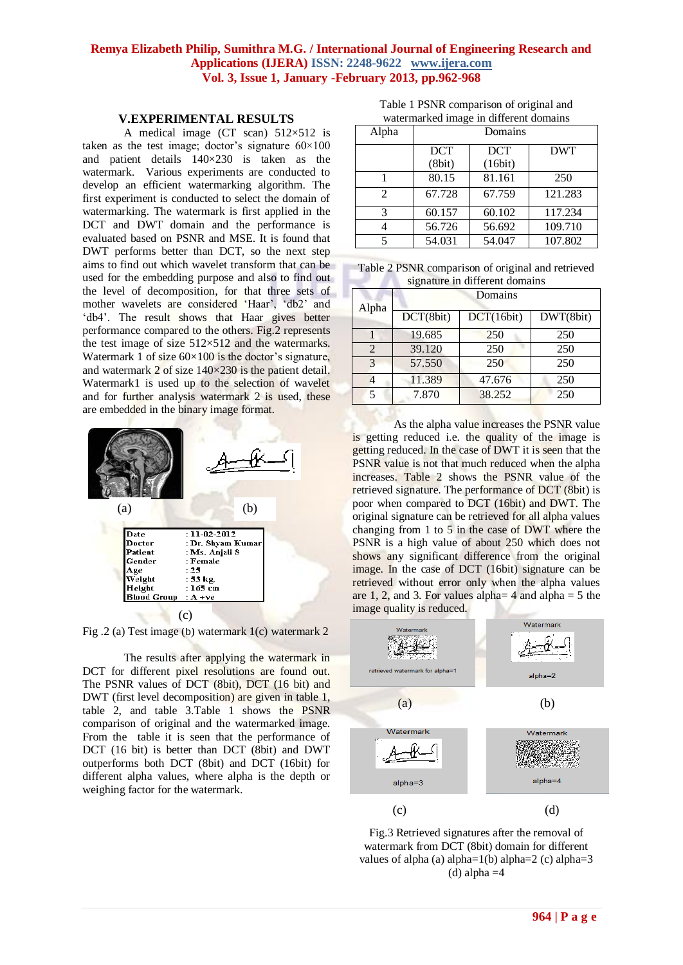#### **V.EXPERIMENTAL RESULTS**

A medical image (CT scan)  $512\times512$  is taken as the test image; doctor's signature  $60 \times 100$ and patient details 140×230 is taken as the watermark. Various experiments are conducted to develop an efficient watermarking algorithm. The first experiment is conducted to select the domain of watermarking. The watermark is first applied in the DCT and DWT domain and the performance is evaluated based on PSNR and MSE. It is found that DWT performs better than DCT, so the next step aims to find out which wavelet transform that can be used for the embedding purpose and also to find out the level of decomposition, for that three sets of mother wavelets are considered 'Haar', 'db2' and 'db4'. The result shows that Haar gives better performance compared to the others. Fig.2 represents the test image of size  $512\times512$  and the watermarks. Watermark 1 of size  $60\times100$  is the doctor's signature, and watermark 2 of size  $140\times230$  is the patient detail. Watermark1 is used up to the selection of wavelet and for further analysis watermark 2 is used, these are embedded in the binary image format.



Fig .2 (a) Test image (b) watermark 1(c) watermark 2

The results after applying the watermark in DCT for different pixel resolutions are found out. The PSNR values of DCT (8bit), DCT (16 bit) and DWT (first level decomposition) are given in table 1, table 2, and table 3.Table 1 shows the PSNR comparison of original and the watermarked image. From the table it is seen that the performance of DCT (16 bit) is better than DCT (8bit) and DWT outperforms both DCT (8bit) and DCT (16bit) for different alpha values, where alpha is the depth or weighing factor for the watermark.

Table 1 PSNR comparison of original and watermarked image in different domains

| Alpha | Domains    |            |            |
|-------|------------|------------|------------|
|       | <b>DCT</b> | <b>DCT</b> | <b>DWT</b> |
|       | (8bit)     | (16bit)    |            |
|       | 80.15      | 81.161     | 250        |
| 2     | 67.728     | 67.759     | 121.283    |
| 3     | 60.157     | 60.102     | 117.234    |
|       | 56.726     | 56.692     | 109.710    |
| 5     | 54.031     | 54.047     | 107.802    |

| Table 2 PSNR comparison of original and retrieved |
|---------------------------------------------------|
| signature in different domains                    |

| Alpha        | Domains   |            |           |
|--------------|-----------|------------|-----------|
|              | DCT(8bit) | DCT(16bit) | DWT(8bit) |
|              | 19.685    | 250        | 250       |
| 2            | 39.120    | 250        | 250       |
| $\mathbf{z}$ | 57.550    | 250        | 250       |
|              | 11.389    | 47.676     | 250       |
| 5            | 7.870     | 38.252     | 250       |

As the alpha value increases the PSNR value is getting reduced i.e. the quality of the image is getting reduced. In the case of DWT it is seen that the PSNR value is not that much reduced when the alpha increases. Table 2 shows the PSNR value of the retrieved signature. The performance of DCT (8bit) is poor when compared to DCT (16bit) and DWT. The original signature can be retrieved for all alpha values changing from 1 to 5 in the case of DWT where the PSNR is a high value of about 250 which does not shows any significant difference from the original image. In the case of DCT (16bit) signature can be retrieved without error only when the alpha values are 1, 2, and 3. For values alpha=  $4$  and alpha =  $5$  the image quality is reduced.



Fig.3 Retrieved signatures after the removal of watermark from DCT (8bit) domain for different values of alpha (a) alpha=1(b) alpha=2 (c) alpha=3 (d) alpha  $=4$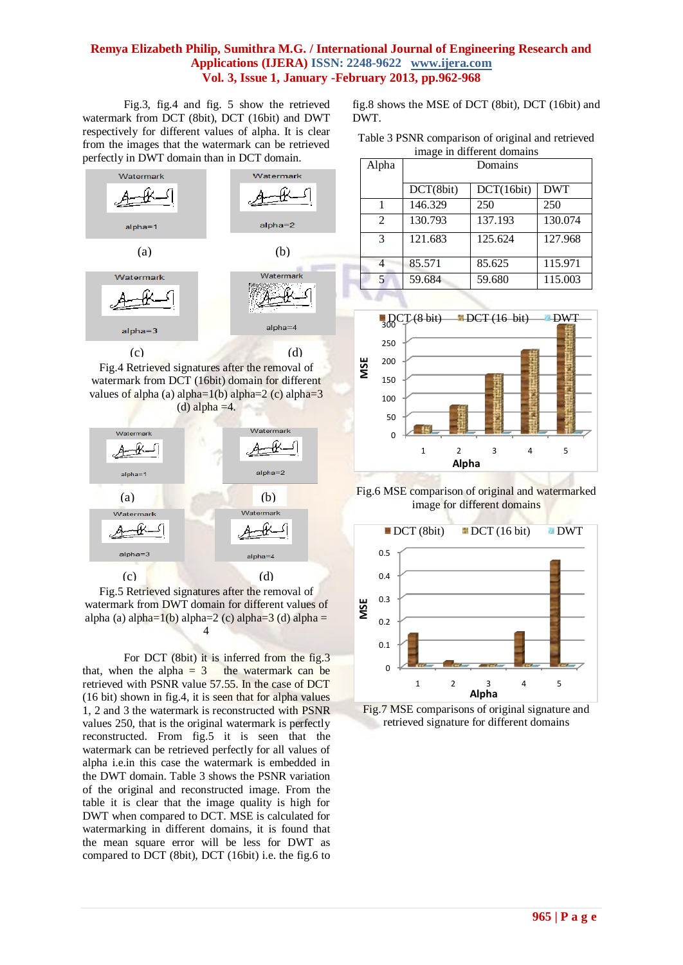Fig.3, fig.4 and fig. 5 show the retrieved watermark from DCT (8bit), DCT (16bit) and DWT respectively for different values of alpha. It is clear from the images that the watermark can be retrieved perfectly in DWT domain than in DCT domain.



Fig.4 Retrieved signatures after the removal of watermark from DCT (16bit) domain for different values of alpha (a) alpha=1(b) alpha=2 (c) alpha= $3$ (d) alpha  $=4$ .



Fig.5 Retrieved signatures after the removal of watermark from DWT domain for different values of alpha (a) alpha=1(b) alpha=2 (c) alpha=3 (d) alpha = 4

For DCT (8bit) it is inferred from the fig.3 that, when the alpha  $= 3$  the watermark can be retrieved with PSNR value 57.55. In the case of DCT (16 bit) shown in fig.4, it is seen that for alpha values 1, 2 and 3 the watermark is reconstructed with PSNR values 250, that is the original watermark is perfectly reconstructed. From fig.5 it is seen that the watermark can be retrieved perfectly for all values of alpha i.e.in this case the watermark is embedded in the DWT domain. Table 3 shows the PSNR variation of the original and reconstructed image. From the table it is clear that the image quality is high for DWT when compared to DCT. MSE is calculated for watermarking in different domains, it is found that the mean square error will be less for DWT as compared to DCT (8bit), DCT (16bit) i.e. the fig.6 to

fig.8 shows the MSE of DCT (8bit), DCT (16bit) and DWT.

| Table 3 PSNR comparison of original and retrieved |  |
|---------------------------------------------------|--|
| image in different domains                        |  |

| Alpha          | Domains   |            |            |
|----------------|-----------|------------|------------|
|                | DCT(8bit) | DCT(16bit) | <b>DWT</b> |
|                | 146.329   | 250        | 250        |
| $\mathfrak{D}$ | 130.793   | 137.193    | 130.074    |
| 3              | 121.683   | 125.624    | 127.968    |
|                | 85.571    | 85.625     | 115.971    |
| 5              | 59.684    | 59.680     | 115.003    |



Fig.6 MSE comparison of original and watermarked image for different domains



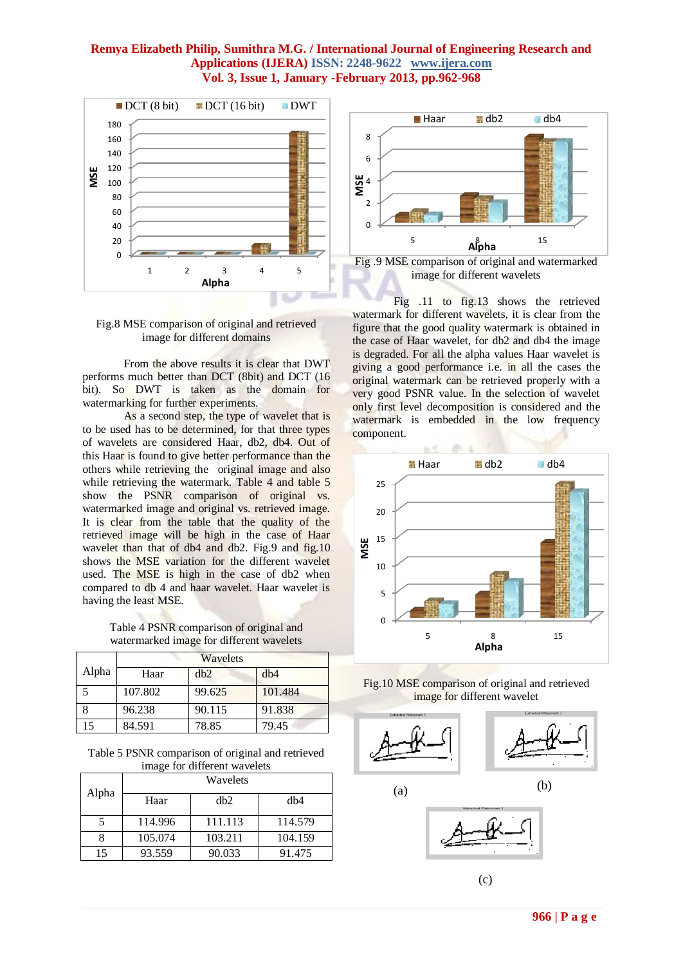



From the above results it is clear that DWT performs much better than DCT (8bit) and DCT (16 bit). So DWT is taken as the domain for watermarking for further experiments.

As a second step, the type of wavelet that is to be used has to be determined, for that three types of wavelets are considered Haar, db2, db4. Out of this Haar is found to give better performance than the others while retrieving the original image and also while retrieving the watermark. Table 4 and table 5 show the PSNR comparison of original vs. watermarked image and original vs. retrieved image. It is clear from the table that the quality of the retrieved image will be high in the case of Haar wavelet than that of db4 and db2. Fig.9 and fig.10 shows the MSE variation for the different wavelet used. The MSE is high in the case of db2 when compared to db 4 and haar wavelet. Haar wavelet is having the least MSE.

Table 4 PSNR comparison of original and watermarked image for different wavelets

|       | Wavelets |        |         |
|-------|----------|--------|---------|
| Alpha | Haar     | dh2    | db4     |
|       | 107.802  | 99.625 | 101.484 |
|       | 96.238   | 90.115 | 91.838  |
|       | 84.591   | 78.85  | 79.45   |

Table 5 PSNR comparison of original and retrieved image for different wavelets

| Alpha |         | Wavelets        |         |
|-------|---------|-----------------|---------|
|       | Haar    | db <sub>2</sub> | db4     |
|       | 114.996 | 111.113         | 114.579 |
|       | 105.074 | 103.211         | 104.159 |
| 15    | 93.559  | 90.033          | 91.475  |



image for different wavelets

Fig .11 to fig.13 shows the retrieved watermark for different wavelets, it is clear from the figure that the good quality watermark is obtained in the case of Haar wavelet, for db2 and db4 the image is degraded. For all the alpha values Haar wavelet is giving a good performance i.e. in all the cases the original watermark can be retrieved properly with a very good PSNR value. In the selection of wavelet only first level decomposition is considered and the watermark is embedded in the low frequency component.



Fig.10 MSE comparison of original and retrieved image for different wavelet







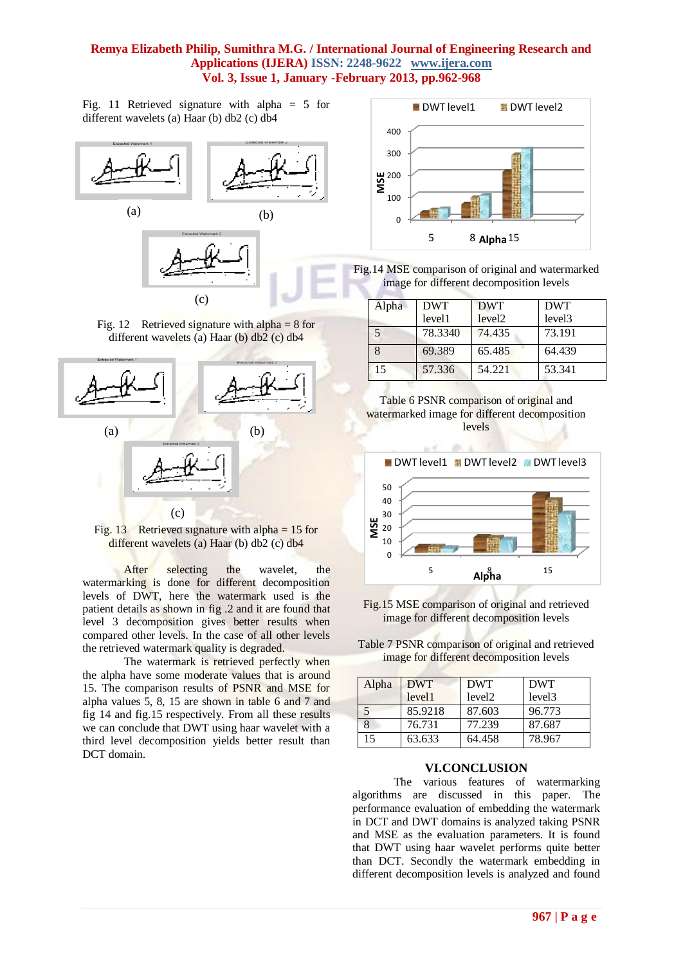Fig. 11 Retrieved signature with alpha = 5 for different wavelets (a) Haar (b) db2 (c) db4



Fig. 12 Retrieved signature with alpha  $= 8$  for different wavelets (a) Haar (b) db2 (c) db4





After selecting the wavelet, the watermarking is done for different decomposition levels of DWT, here the watermark used is the patient details as shown in fig .2 and it are found that level 3 decomposition gives better results when compared other levels. In the case of all other levels the retrieved watermark quality is degraded.

The watermark is retrieved perfectly when the alpha have some moderate values that is around 15. The comparison results of PSNR and MSE for alpha values 5, 8, 15 are shown in table 6 and 7 and fig 14 and fig.15 respectively. From all these results we can conclude that DWT using haar wavelet with a third level decomposition yields better result than DCT domain.



Fig.14 MSE comparison of original and watermarked image for different decomposition levels

| Alpha | <b>DWT</b> | <b>DWT</b>         | <b>DWT</b>         |
|-------|------------|--------------------|--------------------|
|       | level1     | level <sub>2</sub> | level <sub>3</sub> |
|       | 78.3340    | 74.435             | 73.191             |
|       | 69.389     | 65.485             | 64.439             |
| 15    | 57.336     | 54.221             | 53.341             |





Fig.15 MSE comparison of original and retrieved image for different decomposition levels

Table 7 PSNR comparison of original and retrieved image for different decomposition levels

| Alpha      | <b>DWT</b> | <b>DWT</b>         | <b>DWT</b>         |
|------------|------------|--------------------|--------------------|
|            | level1     | level <sub>2</sub> | level <sub>3</sub> |
| $\sqrt{5}$ | 85.9218    | 87.603             | 96.773             |
|            | 76.731     | 77.239             | 87.687             |
| 15         | 63.633     | 64.458             | 78.967             |

#### **VI.CONCLUSION**

The various features of watermarking algorithms are discussed in this paper. The performance evaluation of embedding the watermark in DCT and DWT domains is analyzed taking PSNR and MSE as the evaluation parameters. It is found that DWT using haar wavelet performs quite better than DCT. Secondly the watermark embedding in different decomposition levels is analyzed and found